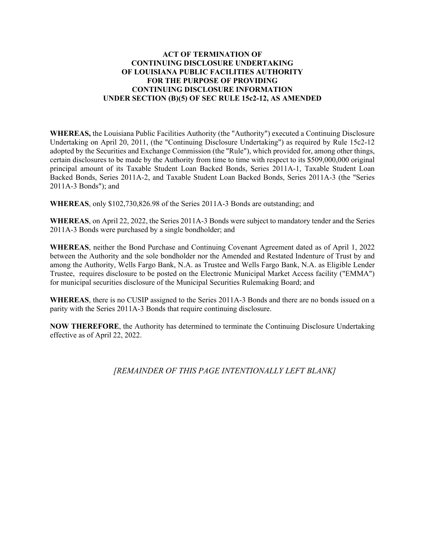## **ACT OF TERMINATION OF CONTINUING DISCLOSURE UNDERTAKING OF LOUISIANA PUBLIC FACILITIES AUTHORITY FOR THE PURPOSE OF PROVIDING CONTINUING DISCLOSURE INFORMATION UNDER SECTION (B)(5) OF SEC RULE 15c2-12, AS AMENDED**

**WHEREAS,** the Louisiana Public Facilities Authority (the "Authority") executed a Continuing Disclosure Undertaking on April 20, 2011, (the "Continuing Disclosure Undertaking") as required by Rule 15c2-12 adopted by the Securities and Exchange Commission (the "Rule"), which provided for, among other things, certain disclosures to be made by the Authority from time to time with respect to its \$509,000,000 original principal amount of its Taxable Student Loan Backed Bonds, Series 2011A-1, Taxable Student Loan Backed Bonds, Series 2011A-2, and Taxable Student Loan Backed Bonds, Series 2011A-3 (the "Series 2011A-3 Bonds"); and

**WHEREAS**, only \$102,730,826.98 of the Series 2011A-3 Bonds are outstanding; and

**WHEREAS**, on April 22, 2022, the Series 2011A-3 Bonds were subject to mandatory tender and the Series 2011A-3 Bonds were purchased by a single bondholder; and

**WHEREAS**, neither the Bond Purchase and Continuing Covenant Agreement dated as of April 1, 2022 between the Authority and the sole bondholder nor the Amended and Restated Indenture of Trust by and among the Authority, Wells Fargo Bank, N.A. as Trustee and Wells Fargo Bank, N.A. as Eligible Lender Trustee, requires disclosure to be posted on the Electronic Municipal Market Access facility ("EMMA") for municipal securities disclosure of the Municipal Securities Rulemaking Board; and

**WHEREAS**, there is no CUSIP assigned to the Series 2011A-3 Bonds and there are no bonds issued on a parity with the Series 2011A-3 Bonds that require continuing disclosure.

**NOW THEREFORE**, the Authority has determined to terminate the Continuing Disclosure Undertaking effective as of April 22, 2022.

*[REMAINDER OF THIS PAGE INTENTIONALLY LEFT BLANK]*